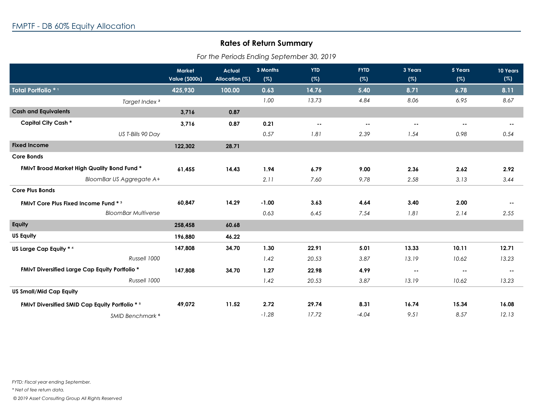## **Rates of Return Summary**

| For the Periods Ending September 30, 2019 |  |
|-------------------------------------------|--|
|-------------------------------------------|--|

|                                                        | <b>Market</b><br><b>Value (\$000s)</b> | <b>Actual</b><br>Allocation (%) | 3 Months<br>(%) | <b>YTD</b><br>(%) | <b>FYTD</b><br>(%) | 3 Years<br>(%) | 5 Years<br>(%) | <b>10 Years</b><br>(%) |
|--------------------------------------------------------|----------------------------------------|---------------------------------|-----------------|-------------------|--------------------|----------------|----------------|------------------------|
| Total Portfolio <sup>*1</sup>                          | 425,930                                | 100.00                          | 0.63            | 14.76             | 5.40               | 8.71           | 6.78           | 8.11                   |
| Target Index <sup>2</sup>                              |                                        |                                 | 1.00            | 13.73             | 4.84               | 8.06           | 6.95           | 8.67                   |
| <b>Cash and Equivalents</b>                            | 3,716                                  | 0.87                            |                 |                   |                    |                |                |                        |
| <b>Capital City Cash *</b>                             | 3,716                                  | 0.87                            | 0.21            | $\sim$            | $\sim$ $\sim$      | $\sim$ $\sim$  | $\sim$         | $\sim$ $\sim$          |
| US T-Bills 90 Day                                      |                                        |                                 | 0.57            | 1.81              | 2.39               | 1.54           | 0.98           | 0.54                   |
| <b>Fixed Income</b>                                    | 122,302                                | 28.71                           |                 |                   |                    |                |                |                        |
| <b>Core Bonds</b>                                      |                                        |                                 |                 |                   |                    |                |                |                        |
| FMIvT Broad Market High Quality Bond Fund *            | 61,455                                 | 14.43                           | 1.94            | 6.79              | 9.00               | 2.36           | 2.62           | 2.92                   |
| <b>BloomBar US Aggregate A+</b>                        |                                        |                                 | 2.11            | 7.60              | 9.78               | 2.58           | 3.13           | 3.44                   |
| <b>Core Plus Bonds</b>                                 |                                        |                                 |                 |                   |                    |                |                |                        |
| <b>FMIVT Core Plus Fixed Income Fund * 3</b>           | 60,847                                 | 14.29                           | $-1.00$         | 3.63              | 4.64               | 3.40           | 2.00           | $\sim$ $-$             |
| <b>BloomBar Multiverse</b>                             |                                        |                                 | 0.63            | 6.45              | 7.54               | 1.81           | 2.14           | 2.55                   |
| Equity                                                 | 258,458                                | 60.68                           |                 |                   |                    |                |                |                        |
| <b>US Equity</b>                                       | 196,880                                | 46.22                           |                 |                   |                    |                |                |                        |
| US Large Cap Equity * 4                                | 147,808                                | 34.70                           | 1.30            | 22.91             | 5.01               | 13.33          | 10.11          | 12.71                  |
| Russell 1000                                           |                                        |                                 | 1.42            | 20.53             | 3.87               | 13.19          | 10.62          | 13.23                  |
| <b>FMIvT Diversified Large Cap Equity Portfolio *</b>  | 147,808                                | 34.70                           | 1.27            | 22.98             | 4.99               | $\sim$ $\sim$  | $\sim$         | $\sim$ $-$             |
| Russell 1000                                           |                                        |                                 | 1.42            | 20.53             | 3.87               | 13.19          | 10.62          | 13.23                  |
| <b>US Small/Mid Cap Equity</b>                         |                                        |                                 |                 |                   |                    |                |                |                        |
| <b>FMIvT Diversified SMID Cap Equity Portfolio * 5</b> | 49,072                                 | 11.52                           | 2.72            | 29.74             | 8.31               | 16.74          | 15.34          | 16.08                  |
| SMID Benchmark <sup>6</sup>                            |                                        |                                 | $-1.28$         | 17.72             | $-4.04$            | 9.51           | 8.57           | 12.13                  |

*FYTD: Fiscal year ending September.*

*\* Net of fee return data.*

 *© 2019 Asset Consulting Group All Rights Reserved*